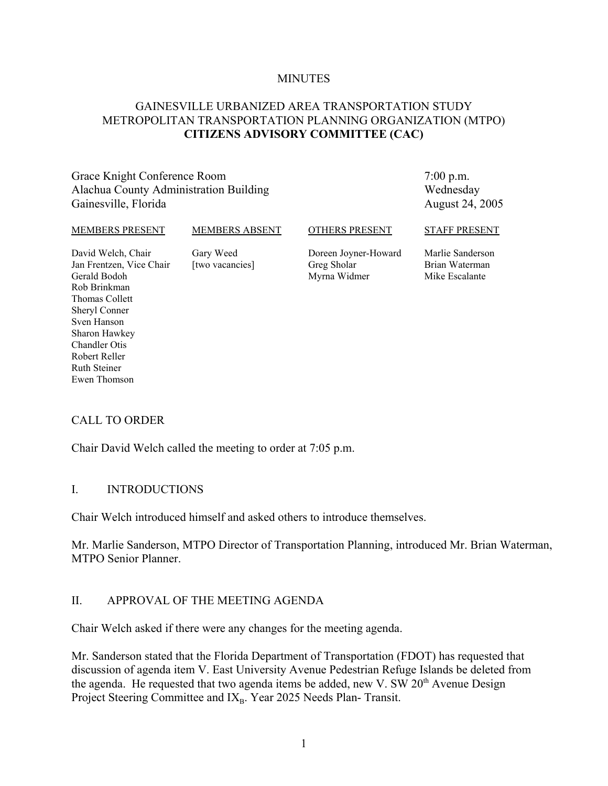#### **MINUTES**

### GAINESVILLE URBANIZED AREA TRANSPORTATION STUDY METROPOLITAN TRANSPORTATION PLANNING ORGANIZATION (MTPO) **CITIZENS ADVISORY COMMITTEE (CAC)**

Grace Knight Conference Room Alachua County Administration Building Gainesville, Florida

7:00 p.m. Wednesday August 24, 2005

#### MEMBERS PRESENT

#### MEMBERS ABSENT

OTHERS PRESENT

David Welch, Chair Jan Frentzen, Vice Chair Gerald Bodoh Rob Brinkman Thomas Collett Sheryl Conner Sven Hanson Sharon Hawkey Chandler Otis Robert Reller Ruth Steiner Ewen Thomson

Gary Weed [two vacancies] Doreen Joyner-Howard Greg Sholar Myrna Widmer

STAFF PRESENT

Marlie Sanderson Brian Waterman Mike Escalante

### CALL TO ORDER

Chair David Welch called the meeting to order at 7:05 p.m.

#### I. INTRODUCTIONS

Chair Welch introduced himself and asked others to introduce themselves.

Mr. Marlie Sanderson, MTPO Director of Transportation Planning, introduced Mr. Brian Waterman, MTPO Senior Planner.

#### II. APPROVAL OF THE MEETING AGENDA

Chair Welch asked if there were any changes for the meeting agenda.

Mr. Sanderson stated that the Florida Department of Transportation (FDOT) has requested that discussion of agenda item V. East University Avenue Pedestrian Refuge Islands be deleted from the agenda. He requested that two agenda items be added, new V. SW  $20<sup>th</sup>$  Avenue Design Project Steering Committee and IX<sub>B</sub>. Year 2025 Needs Plan- Transit.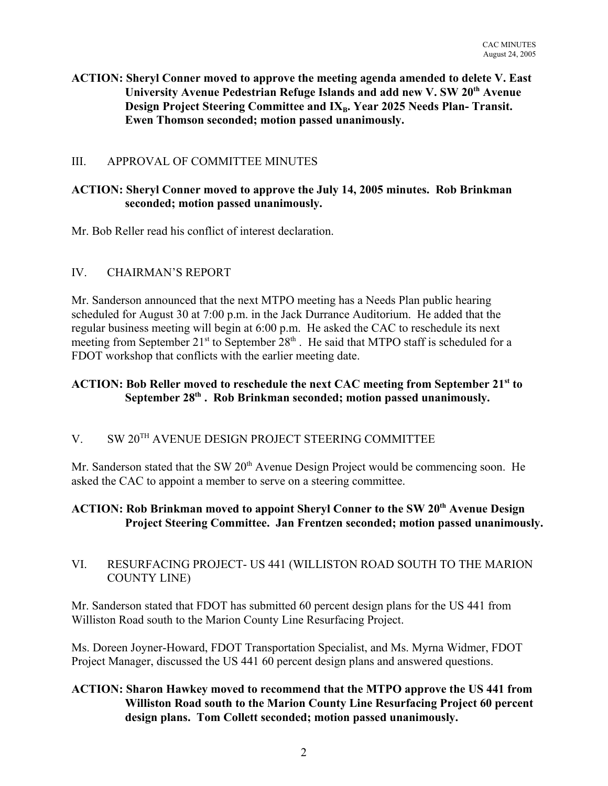**ACTION: Sheryl Conner moved to approve the meeting agenda amended to delete V. East University Avenue Pedestrian Refuge Islands and add new V. SW 20th Avenue** Design Project Steering Committee and IX<sub>p</sub>. Year 2025 Needs Plan- Transit. **Ewen Thomson seconded; motion passed unanimously.**

### III. APPROVAL OF COMMITTEE MINUTES

### **ACTION: Sheryl Conner moved to approve the July 14, 2005 minutes. Rob Brinkman seconded; motion passed unanimously.**

Mr. Bob Reller read his conflict of interest declaration.

### IV. CHAIRMAN'S REPORT

Mr. Sanderson announced that the next MTPO meeting has a Needs Plan public hearing scheduled for August 30 at 7:00 p.m. in the Jack Durrance Auditorium. He added that the regular business meeting will begin at 6:00 p.m. He asked the CAC to reschedule its next meeting from September  $21^{st}$  to September  $28^{th}$ . He said that MTPO staff is scheduled for a FDOT workshop that conflicts with the earlier meeting date.

### **ACTION: Bob Reller moved to reschedule the next CAC meeting from September 21st to September 28th . Rob Brinkman seconded; motion passed unanimously.**

### V. SW 20TH AVENUE DESIGN PROJECT STEERING COMMITTEE

Mr. Sanderson stated that the SW 20<sup>th</sup> Avenue Design Project would be commencing soon. He asked the CAC to appoint a member to serve on a steering committee.

### ACTION: Rob Brinkman moved to appoint Sheryl Conner to the SW 20<sup>th</sup> Avenue Design **Project Steering Committee. Jan Frentzen seconded; motion passed unanimously.**

### VI. RESURFACING PROJECT- US 441 (WILLISTON ROAD SOUTH TO THE MARION COUNTY LINE)

Mr. Sanderson stated that FDOT has submitted 60 percent design plans for the US 441 from Williston Road south to the Marion County Line Resurfacing Project.

Ms. Doreen Joyner-Howard, FDOT Transportation Specialist, and Ms. Myrna Widmer, FDOT Project Manager, discussed the US 441 60 percent design plans and answered questions.

## **ACTION: Sharon Hawkey moved to recommend that the MTPO approve the US 441 from Williston Road south to the Marion County Line Resurfacing Project 60 percent design plans. Tom Collett seconded; motion passed unanimously.**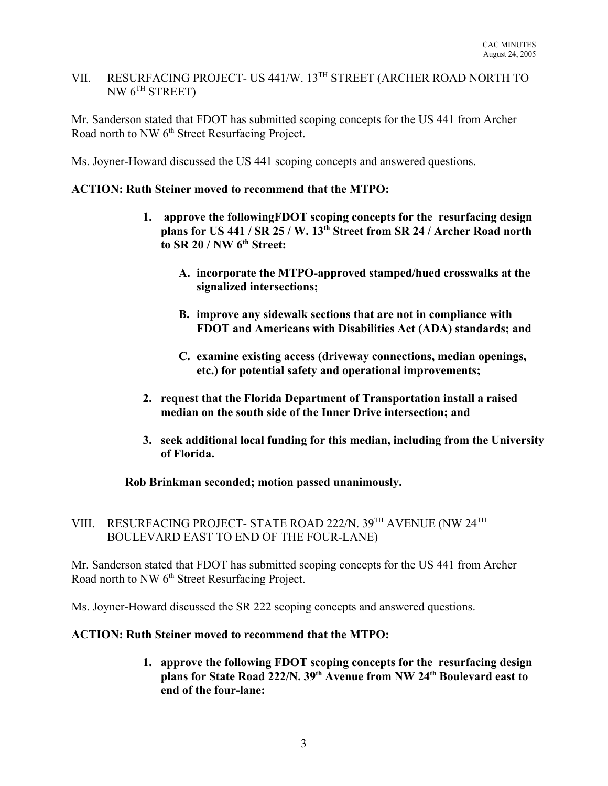### VII. RESURFACING PROJECT- US 441/W. 13TH STREET (ARCHER ROAD NORTH TO NW 6TH STREET)

Mr. Sanderson stated that FDOT has submitted scoping concepts for the US 441 from Archer Road north to NW 6<sup>th</sup> Street Resurfacing Project.

Ms. Joyner-Howard discussed the US 441 scoping concepts and answered questions.

### **ACTION: Ruth Steiner moved to recommend that the MTPO:**

- **1. approve the followingFDOT scoping concepts for the resurfacing design plans for US 441 / SR 25 / W. 13th Street from SR 24 / Archer Road north to SR 20 / NW 6th Street:**
	- **A. incorporate the MTPO-approved stamped/hued crosswalks at the signalized intersections;**
	- **B. improve any sidewalk sections that are not in compliance with FDOT and Americans with Disabilities Act (ADA) standards; and**
	- **C. examine existing access (driveway connections, median openings, etc.) for potential safety and operational improvements;**
- **2. request that the Florida Department of Transportation install a raised median on the south side of the Inner Drive intersection; and**
- **3. seek additional local funding for this median, including from the University of Florida.**

#### **Rob Brinkman seconded; motion passed unanimously.**

### VIII. RESURFACING PROJECT- STATE ROAD 222/N. 39TH AVENUE (NW 24TH BOULEVARD EAST TO END OF THE FOUR-LANE)

Mr. Sanderson stated that FDOT has submitted scoping concepts for the US 441 from Archer Road north to NW 6<sup>th</sup> Street Resurfacing Project.

Ms. Joyner-Howard discussed the SR 222 scoping concepts and answered questions.

### **ACTION: Ruth Steiner moved to recommend that the MTPO:**

**1. approve the following FDOT scoping concepts for the resurfacing design** plans for State Road 222/N. 39<sup>th</sup> Avenue from NW 24<sup>th</sup> Boulevard east to **end of the four-lane:**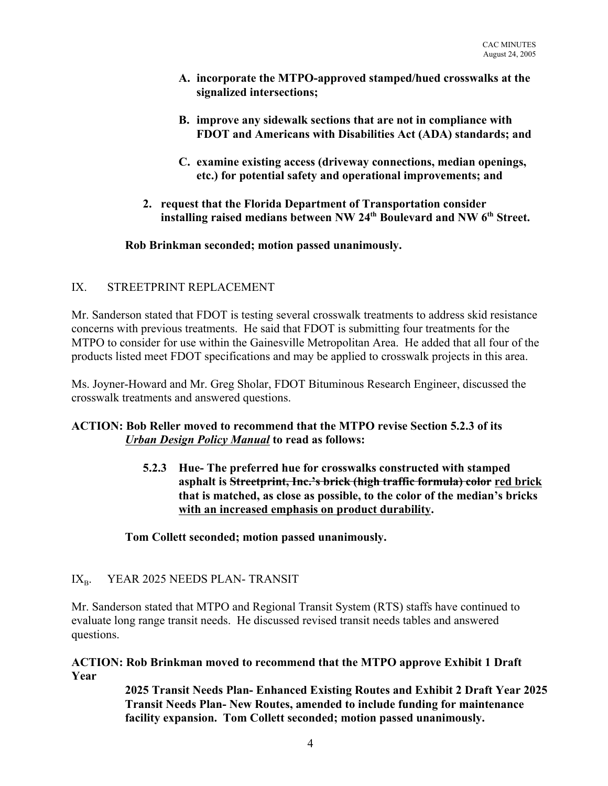- **A. incorporate the MTPO-approved stamped/hued crosswalks at the signalized intersections;**
- **B. improve any sidewalk sections that are not in compliance with FDOT and Americans with Disabilities Act (ADA) standards; and**
- **C. examine existing access (driveway connections, median openings, etc.) for potential safety and operational improvements; and**
- **2. request that the Florida Department of Transportation consider** installing raised medians between NW 24<sup>th</sup> Boulevard and NW 6<sup>th</sup> Street.

### **Rob Brinkman seconded; motion passed unanimously.**

### IX. STREETPRINT REPLACEMENT

Mr. Sanderson stated that FDOT is testing several crosswalk treatments to address skid resistance concerns with previous treatments. He said that FDOT is submitting four treatments for the MTPO to consider for use within the Gainesville Metropolitan Area. He added that all four of the products listed meet FDOT specifications and may be applied to crosswalk projects in this area.

Ms. Joyner-Howard and Mr. Greg Sholar, FDOT Bituminous Research Engineer, discussed the crosswalk treatments and answered questions.

### **ACTION: Bob Reller moved to recommend that the MTPO revise Section 5.2.3 of its**  *Urban Design Policy Manual* **to read as follows:**

**5.2.3 Hue- The preferred hue for crosswalks constructed with stamped asphalt is Streetprint, Inc.'s brick (high traffic formula) color red brick that is matched, as close as possible, to the color of the median's bricks with an increased emphasis on product durability.**

**Tom Collett seconded; motion passed unanimously.**

### $IX_{R}$ . YEAR 2025 NEEDS PLAN- TRANSIT

Mr. Sanderson stated that MTPO and Regional Transit System (RTS) staffs have continued to evaluate long range transit needs. He discussed revised transit needs tables and answered questions.

### **ACTION: Rob Brinkman moved to recommend that the MTPO approve Exhibit 1 Draft Year**

**2025 Transit Needs Plan- Enhanced Existing Routes and Exhibit 2 Draft Year 2025 Transit Needs Plan- New Routes, amended to include funding for maintenance facility expansion. Tom Collett seconded; motion passed unanimously.**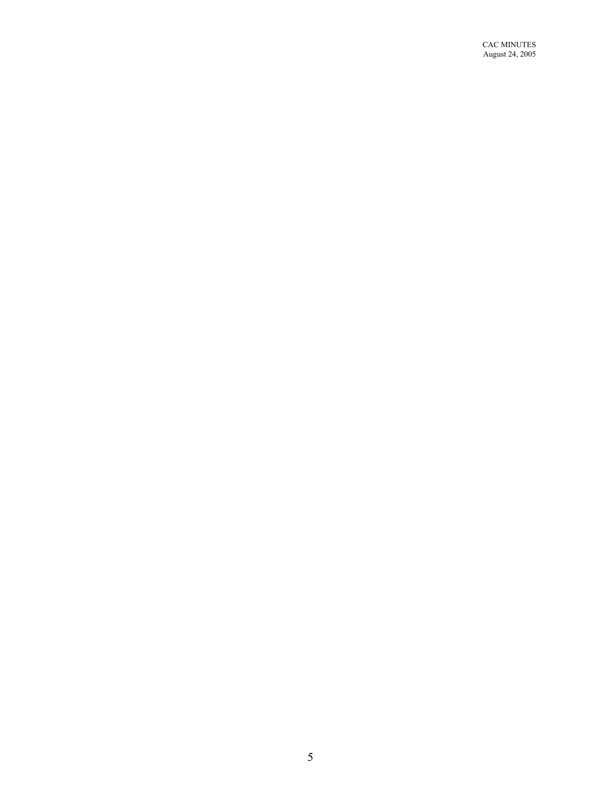CAC MINUTES August 24, 2005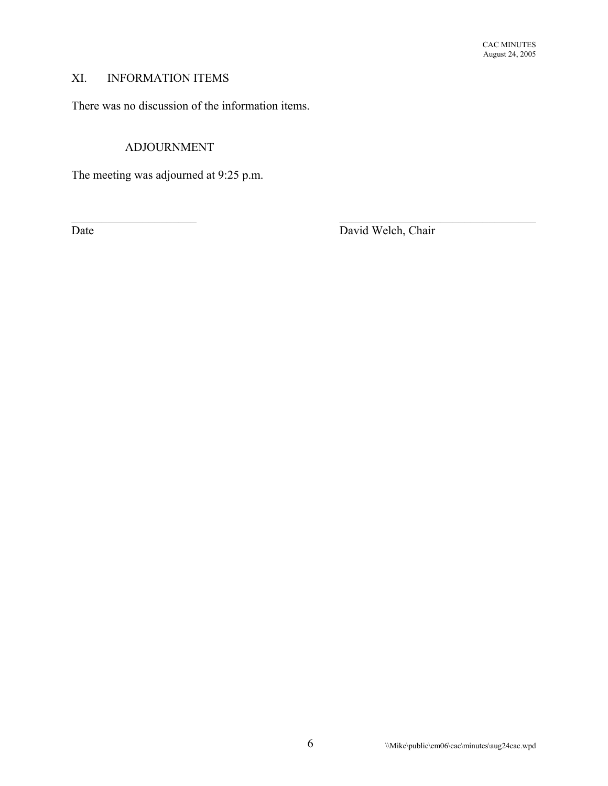### XI. INFORMATION ITEMS

There was no discussion of the information items.

## ADJOURNMENT

The meeting was adjourned at 9:25 p.m.

Date David Welch, Chair

 $\mathcal{L}_\text{max}$  , and the contribution of the contribution of the contribution of the contribution of the contribution of the contribution of the contribution of the contribution of the contribution of the contribution of t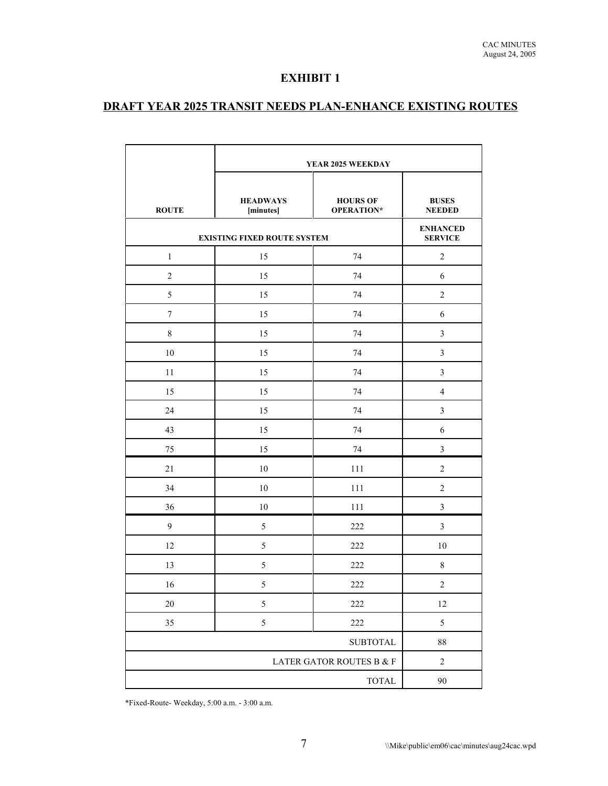#### **EXHIBIT 1**

# **DRAFT YEAR 2025 TRANSIT NEEDS PLAN-ENHANCE EXISTING ROUTES**

|                                    | YEAR 2025 WEEKDAY            |                               |                                   |  |
|------------------------------------|------------------------------|-------------------------------|-----------------------------------|--|
| <b>ROUTE</b>                       | <b>HEADWAYS</b><br>[minutes] | <b>HOURS OF</b><br>OPERATION* | <b>BUSES</b><br><b>NEEDED</b>     |  |
| <b>EXISTING FIXED ROUTE SYSTEM</b> |                              |                               | <b>ENHANCED</b><br><b>SERVICE</b> |  |
| $\mathbf{1}$                       | 15                           | 74                            | $\overline{c}$                    |  |
| $\overline{2}$                     | 15                           | 74                            | 6                                 |  |
| 5                                  | 15                           | 74                            | $\overline{2}$                    |  |
| $\boldsymbol{7}$                   | 15                           | 74                            | 6                                 |  |
| $\,$ 8 $\,$                        | 15                           | 74                            | 3                                 |  |
| 10                                 | 15                           | 74                            | 3                                 |  |
| 11                                 | 15                           | 74                            | $\overline{\mathbf{3}}$           |  |
| 15                                 | 15                           | 74                            | $\overline{4}$                    |  |
| 24                                 | 15                           | 74                            | 3                                 |  |
| 43                                 | 15                           | 74                            | 6                                 |  |
| 75                                 | 15                           | 74                            | $\overline{\mathbf{3}}$           |  |
| 21                                 | $10\,$                       | 111                           | $\overline{c}$                    |  |
| 34                                 | 10                           | 111                           | $\overline{2}$                    |  |
| 36                                 | 10                           | 111                           | 3                                 |  |
| 9                                  | 5                            | 222                           | 3                                 |  |
| 12                                 | 5                            | 222                           | 10                                |  |
| 13                                 | 5                            | 222                           | 8                                 |  |
| 16                                 | 5                            | 222                           | $\overline{c}$                    |  |
| $20\,$                             | 5                            | 222                           | 12                                |  |
| 35                                 | 5                            | 222                           | 5                                 |  |
|                                    |                              | <b>SUBTOTAL</b>               | $88\,$                            |  |
| LATER GATOR ROUTES B $\&$ F        |                              |                               | $\boldsymbol{2}$                  |  |
| <b>TOTAL</b>                       |                              |                               | $90\,$                            |  |

\*Fixed-Route- Weekday, 5:00 a.m. - 3:00 a.m.